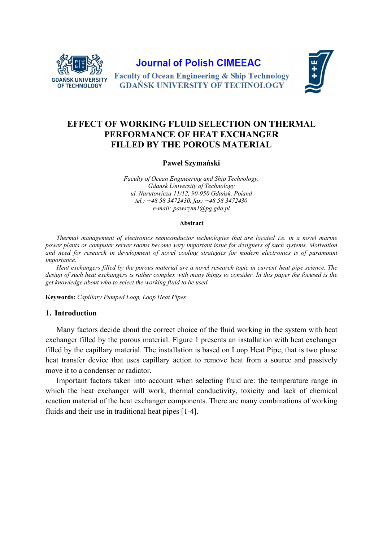

**Journal of Polish CIMEEAC** 



**Faculty of Ocean Engineering & Ship Technology GDAŃSK UNIVERSITY OF TECHNOLOGY** 

# **EFFECT OF WORKING FLUID SELECTION ON THERMAL** PERFORMANCE OF HEAT EXCHANGER **FILLED BY THE POROUS MATERIAL**

#### Paweł Szymański

Faculty of Ocean Engineering and Ship Technology, **Gdansk University of Technology** ul. Narutowicza 11/12, 90-950 Gdańsk, Poland tel.: +48 58 3472430, fax: +48 58 3472430 e-mail: pawszyml@pg.gda.pl

#### **Abstract**

Thermal management of electronics semiconductor technologies that are located i.e. in a novel marine power plants or computer server rooms become very important issue for designers of such systems. Motivation and need for research in development of novel cooling strategies for modern electronics is of paramount *importance.* 

Heat exchangers filled by the porous material are a novel research topic in current heat pipe science. The design of such heat exchangers is rather complex with many things to consider. In this paper the focused is the get knowledge about who to select the working fluid to be used.

Keywords: Capillary Pumped Loop, Loop Heat Pipes

### 1. Introduction

Many factors decide about the correct choice of the fluid working in the system with heat exchanger filled by the porous material. Figure 1 presents an installation with heat exchanger filled by the capillary material. The installation is based on Loop Heat Pipe, that is two phase heat transfer device that uses capillary action to remove heat from a source and passively move it to a condenser or radiator.

Important factors taken into account when selecting fluid are: the temperature range in which the heat exchanger will work, thermal conductivity, toxicity and lack of chemical reaction material of the heat exchanger components. There are many combinations of working fluids and their use in traditional heat pipes [1-4].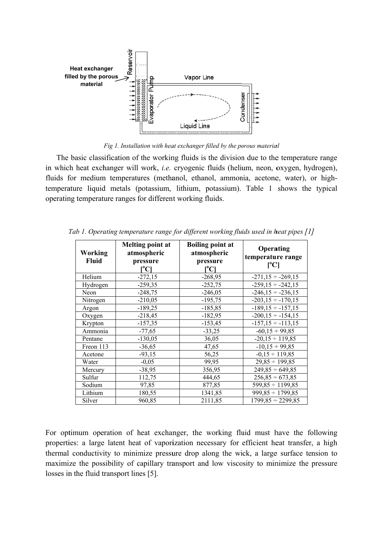

Fig 1. Installation with heat exchanger filled by the porous material

The basic classification of the working fluids is the division due to the temperature range in which heat exchanger will work, *i.e.* cryogenic fluids (helium, neon, oxygen, hydrogen), fluids for medium temperatures (methanol, ethanol, ammonia, acetone, water), or hightemperature liquid metals (potassium, lithium, potassium). Table 1 shows the typical operating temperature ranges for different working fluids.

| Working<br><b>Fluid</b> | <b>Melting point at</b><br>atmospheric<br>pressure<br>$\mathsf{I}^{\mathsf{o}}\mathbf{C} \mathsf{I}$ | <b>Boiling point at</b><br>atmospheric<br>pressure<br>[°C] | Operating<br>temperature range<br>[°C] |  |  |
|-------------------------|------------------------------------------------------------------------------------------------------|------------------------------------------------------------|----------------------------------------|--|--|
| Helium                  | $-272,15$                                                                                            | $-268,95$                                                  | $-271,15 \div -269,15$                 |  |  |
| Hydrogen                | $-259,35$                                                                                            | $-252,75$                                                  | $-259,15 \div -242,15$                 |  |  |
| Neon                    | $-248,75$                                                                                            | $-246,05$                                                  | $-246,15 \div -236,15$                 |  |  |
| Nitrogen                | $-210,05$                                                                                            | $-195,75$                                                  | $-203,15 \div -170,15$                 |  |  |
| Argon                   | $-189,25$                                                                                            | $-185,85$                                                  | $-189, 15 \div -157, 15$               |  |  |
| Oxygen                  | $-218,45$                                                                                            | $-182,95$                                                  | $-200, 15 \div -154, 15$               |  |  |
| Krypton                 | $-157,35$                                                                                            | $-153,45$                                                  | $-157, 15 \div -113, 15$               |  |  |
| Ammonia                 | $-77,65$                                                                                             | $-33,25$                                                   | $-60,15 \div 99,85$                    |  |  |
| Pentane                 | $-130,05$                                                                                            | 36,05                                                      | $-20.15 \div 119.85$                   |  |  |
| Freon 113               | $-36,65$                                                                                             | 47,65                                                      | $-10,15 \div 99,85$                    |  |  |
| Acetone                 | $-93,15$                                                                                             | 56,25                                                      | $-0.15 \div 119.85$                    |  |  |
| Water                   | $-0,05$                                                                                              | 99,95                                                      | $29,85 \div 199,85$                    |  |  |
| Mercury                 | $-38,95$                                                                                             | 356,95                                                     | $249,85 \div 649,85$                   |  |  |
| Sulfur                  | 112,75                                                                                               | 444,65                                                     | $256,85 \div 673,85$                   |  |  |
| Sodium                  | 97,85                                                                                                | 877,85                                                     | $599,85 \div 1199,85$                  |  |  |
| Lithium                 | 180,55                                                                                               | 1341,85                                                    | $999,85 \div 1799,85$                  |  |  |
| Silver                  | 960,85                                                                                               | 2111,85                                                    | $1799,85 \div 2299,85$                 |  |  |

Tab 1. Operating temperature range for different working fluids used in heat pipes [1]

For optimum operation of heat exchanger, the working fluid must have the following properties: a large latent heat of vaporization necessary for efficient heat transfer, a high thermal conductivity to minimize pressure drop along the wick, a large surface tension to maximize the possibility of capillary transport and low viscosity to minimize the pressure losses in the fluid transport lines [5].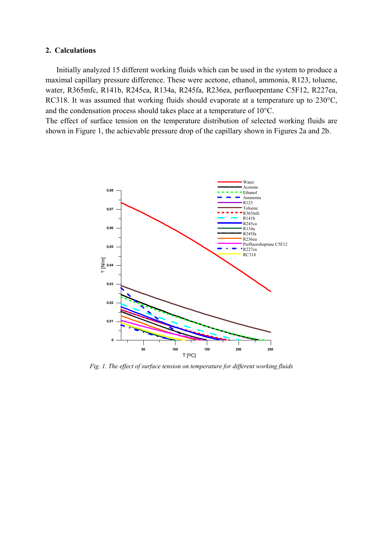## **2. Calculations**

 Initially analyzed 15 different working fluids which can be used in the system to produce a maximal capillary pressure difference. These were acetone, ethanol, ammonia, R123, toluene, water, R365mfc, R141b, R245ca, R134a, R245fa, R236ea, perfluorpentane C5F12, R227ea, RC318. It was assumed that working fluids should evaporate at a temperature up to 230°C, and the condensation process should takes place at a temperature of 10°C.

The effect of surface tension on the temperature distribution of selected working fluids are shown in Figure 1, the achievable pressure drop of the capillary shown in Figures 2a and 2b.



*Fig. 1. The effect of surface tension on temperature for different working fluids*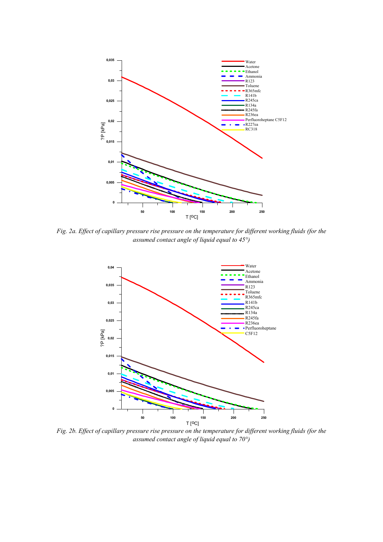

*Fig. 2a. Effect of capillary pressure rise pressure on the temperature for different working fluids (for the assumed contact angle of liquid equal to 45°)* 



*Fig. 2b. Effect of capillary pressure rise pressure on the temperature for different working fluids (for the assumed contact angle of liquid equal to 70°)*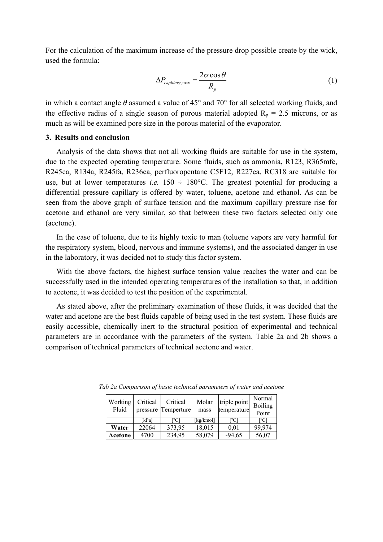For the calculation of the maximum increase of the pressure drop possible create by the wick, used the formula:

$$
\Delta P_{\text{capillary},\text{max}} = \frac{2\sigma \cos \theta}{R_p} \tag{1}
$$

in which a contact angle *θ* assumed a value of 45° and 70° for all selected working fluids, and the effective radius of a single season of porous material adopted  $R_p = 2.5$  microns, or as much as will be examined pore size in the porous material of the evaporator.

# **3. Results and conclusion**

 Analysis of the data shows that not all working fluids are suitable for use in the system, due to the expected operating temperature. Some fluids, such as ammonia, R123, R365mfc, R245ca, R134a, R245fa, R236ea, perfluoropentane C5F12, R227ea, RC318 are suitable for use, but at lower temperatures *i.e.*  $150 \div 180^{\circ}$ C. The greatest potential for producing a differential pressure capillary is offered by water, toluene, acetone and ethanol. As can be seen from the above graph of surface tension and the maximum capillary pressure rise for acetone and ethanol are very similar, so that between these two factors selected only one (acetone).

 In the case of toluene, due to its highly toxic to man (toluene vapors are very harmful for the respiratory system, blood, nervous and immune systems), and the associated danger in use in the laboratory, it was decided not to study this factor system.

 With the above factors, the highest surface tension value reaches the water and can be successfully used in the intended operating temperatures of the installation so that, in addition to acetone, it was decided to test the position of the experimental.

 As stated above, after the preliminary examination of these fluids, it was decided that the water and acetone are the best fluids capable of being used in the test system. These fluids are easily accessible, chemically inert to the structural position of experimental and technical parameters are in accordance with the parameters of the system. Table 2a and 2b shows a comparison of technical parameters of technical acetone and water.

| Working<br>Fluid | Critical | Critical<br>pressure Temperture | Molar<br>mass | triple point<br>temperature | Normal<br><b>Boiling</b><br>Point |
|------------------|----------|---------------------------------|---------------|-----------------------------|-----------------------------------|
|                  | [kPa]    | $C_1$                           | [kg/kmol]     | Г°С1                        | ſ℃                                |
| Water            | 22064    | 373,95                          | 18,015        | 0.01                        | 99,974                            |
| Acetone          | 4700     | 234,95                          | 58,079        | $-94,65$                    | 56,07                             |

*Tab 2a Comparison of basic technical parameters of water and acetone*